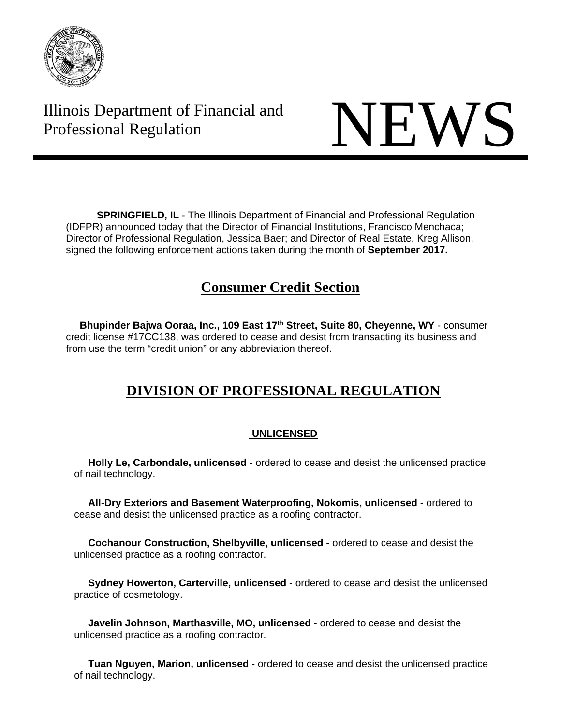

# Illinois Department of Financial and Illinois Department of Financial and<br>Professional Regulation



**SPRINGFIELD, IL** - The Illinois Department of Financial and Professional Regulation (IDFPR) announced today that the Director of Financial Institutions, Francisco Menchaca; Director of Professional Regulation, Jessica Baer; and Director of Real Estate, Kreg Allison, signed the following enforcement actions taken during the month of **September 2017.** 

### **Consumer Credit Section**

 **Bhupinder Bajwa Ooraa, Inc., 109 East 17th Street, Suite 80, Cheyenne, WY** - consumer credit license #17CC138, was ordered to cease and desist from transacting its business and from use the term "credit union" or any abbreviation thereof.

## **DIVISION OF PROFESSIONAL REGULATION**

### **UNLICENSED**

 **Holly Le, Carbondale, unlicensed** - ordered to cease and desist the unlicensed practice of nail technology.

 **All-Dry Exteriors and Basement Waterproofing, Nokomis, unlicensed** - ordered to cease and desist the unlicensed practice as a roofing contractor.

 **Cochanour Construction, Shelbyville, unlicensed** - ordered to cease and desist the unlicensed practice as a roofing contractor.

 **Sydney Howerton, Carterville, unlicensed** - ordered to cease and desist the unlicensed practice of cosmetology.

 **Javelin Johnson, Marthasville, MO, unlicensed** - ordered to cease and desist the unlicensed practice as a roofing contractor.

 **Tuan Nguyen, Marion, unlicensed** - ordered to cease and desist the unlicensed practice of nail technology.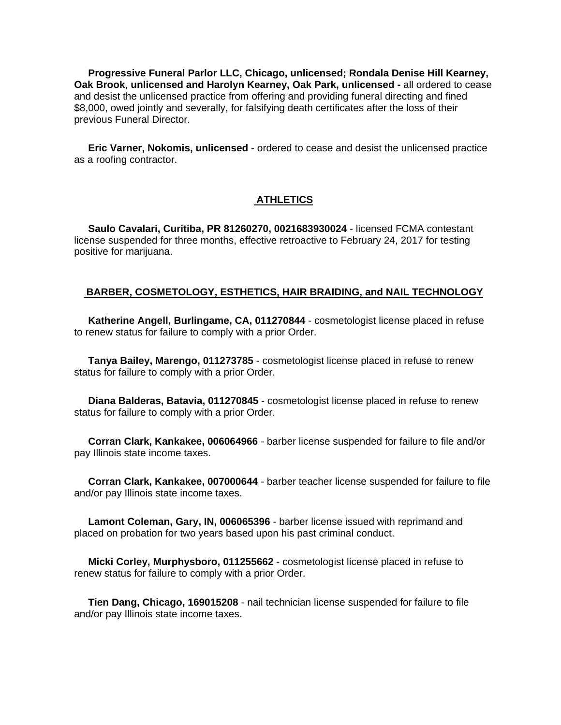**Progressive Funeral Parlor LLC, Chicago, unlicensed; Rondala Denise Hill Kearney, Oak Brook**, **unlicensed and Harolyn Kearney, Oak Park, unlicensed -** all ordered to cease and desist the unlicensed practice from offering and providing funeral directing and fined \$8,000, owed jointly and severally, for falsifying death certificates after the loss of their previous Funeral Director.

 **Eric Varner, Nokomis, unlicensed** - ordered to cease and desist the unlicensed practice as a roofing contractor.

#### **ATHLETICS**

 **Saulo Cavalari, Curitiba, PR 81260270, 0021683930024** - licensed FCMA contestant license suspended for three months, effective retroactive to February 24, 2017 for testing positive for marijuana.

#### **BARBER, COSMETOLOGY, ESTHETICS, HAIR BRAIDING, and NAIL TECHNOLOGY**

 **Katherine Angell, Burlingame, CA, 011270844** - cosmetologist license placed in refuse to renew status for failure to comply with a prior Order.

 **Tanya Bailey, Marengo, 011273785** - cosmetologist license placed in refuse to renew status for failure to comply with a prior Order.

 **Diana Balderas, Batavia, 011270845** - cosmetologist license placed in refuse to renew status for failure to comply with a prior Order.

 **Corran Clark, Kankakee, 006064966** - barber license suspended for failure to file and/or pay Illinois state income taxes.

 **Corran Clark, Kankakee, 007000644** - barber teacher license suspended for failure to file and/or pay Illinois state income taxes.

 **Lamont Coleman, Gary, IN, 006065396** - barber license issued with reprimand and placed on probation for two years based upon his past criminal conduct.

 **Micki Corley, Murphysboro, 011255662** - cosmetologist license placed in refuse to renew status for failure to comply with a prior Order.

 **Tien Dang, Chicago, 169015208** - nail technician license suspended for failure to file and/or pay Illinois state income taxes.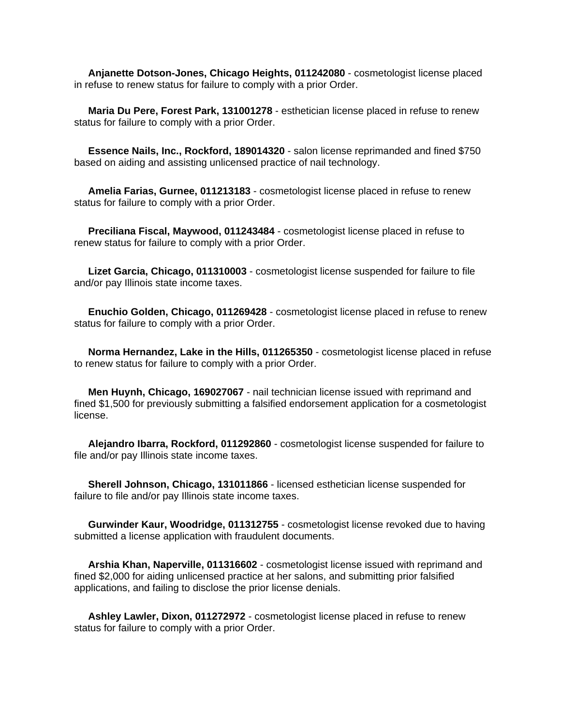**Anjanette Dotson-Jones, Chicago Heights, 011242080** - cosmetologist license placed in refuse to renew status for failure to comply with a prior Order.

 **Maria Du Pere, Forest Park, 131001278** - esthetician license placed in refuse to renew status for failure to comply with a prior Order.

 **Essence Nails, Inc., Rockford, 189014320** - salon license reprimanded and fined \$750 based on aiding and assisting unlicensed practice of nail technology.

 **Amelia Farias, Gurnee, 011213183** - cosmetologist license placed in refuse to renew status for failure to comply with a prior Order.

 **Preciliana Fiscal, Maywood, 011243484** - cosmetologist license placed in refuse to renew status for failure to comply with a prior Order.

 **Lizet Garcia, Chicago, 011310003** - cosmetologist license suspended for failure to file and/or pay Illinois state income taxes.

 **Enuchio Golden, Chicago, 011269428** - cosmetologist license placed in refuse to renew status for failure to comply with a prior Order.

 **Norma Hernandez, Lake in the Hills, 011265350** - cosmetologist license placed in refuse to renew status for failure to comply with a prior Order.

 **Men Huynh, Chicago, 169027067** - nail technician license issued with reprimand and fined \$1,500 for previously submitting a falsified endorsement application for a cosmetologist license.

 **Alejandro Ibarra, Rockford, 011292860** - cosmetologist license suspended for failure to file and/or pay Illinois state income taxes.

 **Sherell Johnson, Chicago, 131011866** - licensed esthetician license suspended for failure to file and/or pay Illinois state income taxes.

 **Gurwinder Kaur, Woodridge, 011312755** - cosmetologist license revoked due to having submitted a license application with fraudulent documents.

 **Arshia Khan, Naperville, 011316602** - cosmetologist license issued with reprimand and fined \$2,000 for aiding unlicensed practice at her salons, and submitting prior falsified applications, and failing to disclose the prior license denials.

 **Ashley Lawler, Dixon, 011272972** - cosmetologist license placed in refuse to renew status for failure to comply with a prior Order.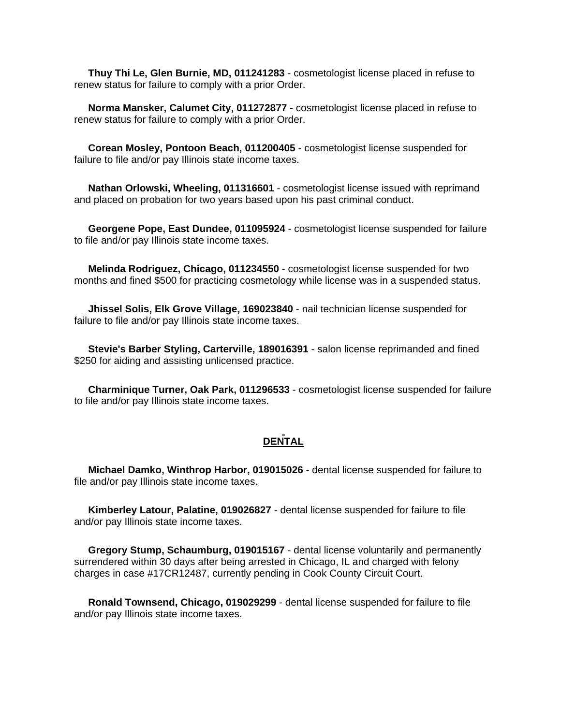**Thuy Thi Le, Glen Burnie, MD, 011241283** - cosmetologist license placed in refuse to renew status for failure to comply with a prior Order.

 **Norma Mansker, Calumet City, 011272877** - cosmetologist license placed in refuse to renew status for failure to comply with a prior Order.

 **Corean Mosley, Pontoon Beach, 011200405** - cosmetologist license suspended for failure to file and/or pay Illinois state income taxes.

 **Nathan Orlowski, Wheeling, 011316601** - cosmetologist license issued with reprimand and placed on probation for two years based upon his past criminal conduct.

 **Georgene Pope, East Dundee, 011095924** - cosmetologist license suspended for failure to file and/or pay Illinois state income taxes.

 **Melinda Rodriguez, Chicago, 011234550** - cosmetologist license suspended for two months and fined \$500 for practicing cosmetology while license was in a suspended status.

 **Jhissel Solis, Elk Grove Village, 169023840** - nail technician license suspended for failure to file and/or pay Illinois state income taxes.

 **Stevie's Barber Styling, Carterville, 189016391** - salon license reprimanded and fined \$250 for aiding and assisting unlicensed practice.

 **Charminique Turner, Oak Park, 011296533** - cosmetologist license suspended for failure to file and/or pay Illinois state income taxes.

#### **DENTAL**

 **Michael Damko, Winthrop Harbor, 019015026** - dental license suspended for failure to file and/or pay Illinois state income taxes.

 **Kimberley Latour, Palatine, 019026827** - dental license suspended for failure to file and/or pay Illinois state income taxes.

 **Gregory Stump, Schaumburg, 019015167** - dental license voluntarily and permanently surrendered within 30 days after being arrested in Chicago, IL and charged with felony charges in case #17CR12487, currently pending in Cook County Circuit Court.

 **Ronald Townsend, Chicago, 019029299** - dental license suspended for failure to file and/or pay Illinois state income taxes.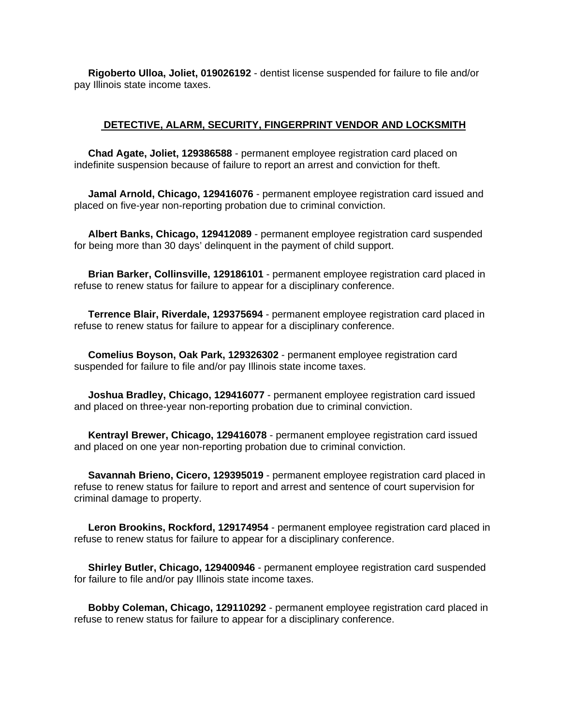**Rigoberto Ulloa, Joliet, 019026192** - dentist license suspended for failure to file and/or pay Illinois state income taxes.

#### **DETECTIVE, ALARM, SECURITY, FINGERPRINT VENDOR AND LOCKSMITH**

 **Chad Agate, Joliet, 129386588** - permanent employee registration card placed on indefinite suspension because of failure to report an arrest and conviction for theft.

 **Jamal Arnold, Chicago, 129416076** - permanent employee registration card issued and placed on five-year non-reporting probation due to criminal conviction.

 **Albert Banks, Chicago, 129412089** - permanent employee registration card suspended for being more than 30 days' delinquent in the payment of child support.

 **Brian Barker, Collinsville, 129186101** - permanent employee registration card placed in refuse to renew status for failure to appear for a disciplinary conference.

 **Terrence Blair, Riverdale, 129375694** - permanent employee registration card placed in refuse to renew status for failure to appear for a disciplinary conference.

 **Comelius Boyson, Oak Park, 129326302** - permanent employee registration card suspended for failure to file and/or pay Illinois state income taxes.

 **Joshua Bradley, Chicago, 129416077** - permanent employee registration card issued and placed on three-year non-reporting probation due to criminal conviction.

 **Kentrayl Brewer, Chicago, 129416078** - permanent employee registration card issued and placed on one year non-reporting probation due to criminal conviction.

 **Savannah Brieno, Cicero, 129395019** - permanent employee registration card placed in refuse to renew status for failure to report and arrest and sentence of court supervision for criminal damage to property.

 **Leron Brookins, Rockford, 129174954** - permanent employee registration card placed in refuse to renew status for failure to appear for a disciplinary conference.

 **Shirley Butler, Chicago, 129400946** - permanent employee registration card suspended for failure to file and/or pay Illinois state income taxes.

 **Bobby Coleman, Chicago, 129110292** - permanent employee registration card placed in refuse to renew status for failure to appear for a disciplinary conference.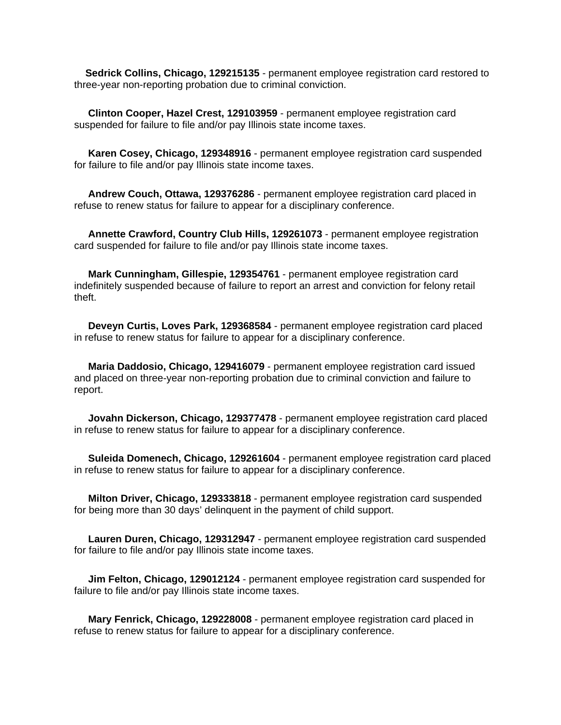**Sedrick Collins, Chicago, 129215135** - permanent employee registration card restored to three-year non-reporting probation due to criminal conviction.

 **Clinton Cooper, Hazel Crest, 129103959** - permanent employee registration card suspended for failure to file and/or pay Illinois state income taxes.

 **Karen Cosey, Chicago, 129348916** - permanent employee registration card suspended for failure to file and/or pay Illinois state income taxes.

 **Andrew Couch, Ottawa, 129376286** - permanent employee registration card placed in refuse to renew status for failure to appear for a disciplinary conference.

 **Annette Crawford, Country Club Hills, 129261073** - permanent employee registration card suspended for failure to file and/or pay Illinois state income taxes.

 **Mark Cunningham, Gillespie, 129354761** - permanent employee registration card indefinitely suspended because of failure to report an arrest and conviction for felony retail theft.

 **Deveyn Curtis, Loves Park, 129368584** - permanent employee registration card placed in refuse to renew status for failure to appear for a disciplinary conference.

 **Maria Daddosio, Chicago, 129416079** - permanent employee registration card issued and placed on three-year non-reporting probation due to criminal conviction and failure to report.

 **Jovahn Dickerson, Chicago, 129377478** - permanent employee registration card placed in refuse to renew status for failure to appear for a disciplinary conference.

 **Suleida Domenech, Chicago, 129261604** - permanent employee registration card placed in refuse to renew status for failure to appear for a disciplinary conference.

 **Milton Driver, Chicago, 129333818** - permanent employee registration card suspended for being more than 30 days' delinquent in the payment of child support.

 **Lauren Duren, Chicago, 129312947** - permanent employee registration card suspended for failure to file and/or pay Illinois state income taxes.

 **Jim Felton, Chicago, 129012124** - permanent employee registration card suspended for failure to file and/or pay Illinois state income taxes.

 **Mary Fenrick, Chicago, 129228008** - permanent employee registration card placed in refuse to renew status for failure to appear for a disciplinary conference.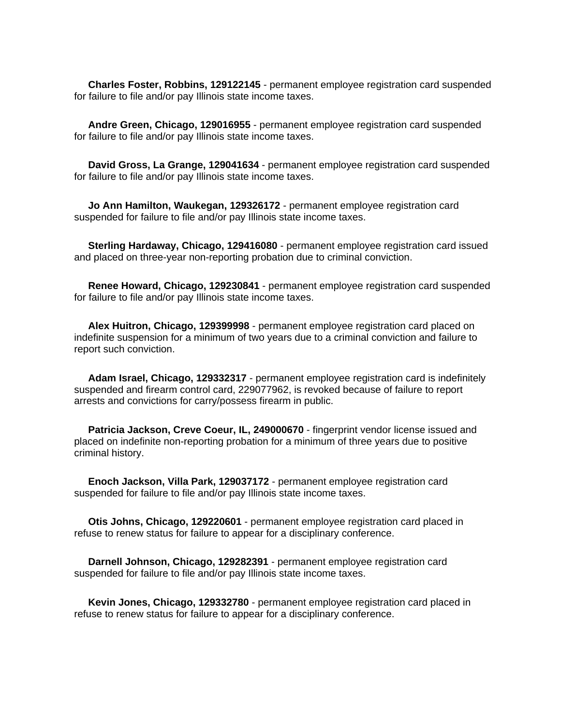**Charles Foster, Robbins, 129122145** - permanent employee registration card suspended for failure to file and/or pay Illinois state income taxes.

 **Andre Green, Chicago, 129016955** - permanent employee registration card suspended for failure to file and/or pay Illinois state income taxes.

 **David Gross, La Grange, 129041634** - permanent employee registration card suspended for failure to file and/or pay Illinois state income taxes.

 **Jo Ann Hamilton, Waukegan, 129326172** - permanent employee registration card suspended for failure to file and/or pay Illinois state income taxes.

 **Sterling Hardaway, Chicago, 129416080** - permanent employee registration card issued and placed on three-year non-reporting probation due to criminal conviction.

 **Renee Howard, Chicago, 129230841** - permanent employee registration card suspended for failure to file and/or pay Illinois state income taxes.

 **Alex Huitron, Chicago, 129399998** - permanent employee registration card placed on indefinite suspension for a minimum of two years due to a criminal conviction and failure to report such conviction.

 **Adam Israel, Chicago, 129332317** - permanent employee registration card is indefinitely suspended and firearm control card, 229077962, is revoked because of failure to report arrests and convictions for carry/possess firearm in public.

 **Patricia Jackson, Creve Coeur, IL, 249000670** - fingerprint vendor license issued and placed on indefinite non-reporting probation for a minimum of three years due to positive criminal history.

 **Enoch Jackson, Villa Park, 129037172** - permanent employee registration card suspended for failure to file and/or pay Illinois state income taxes.

 **Otis Johns, Chicago, 129220601** - permanent employee registration card placed in refuse to renew status for failure to appear for a disciplinary conference.

 **Darnell Johnson, Chicago, 129282391** - permanent employee registration card suspended for failure to file and/or pay Illinois state income taxes.

 **Kevin Jones, Chicago, 129332780** - permanent employee registration card placed in refuse to renew status for failure to appear for a disciplinary conference.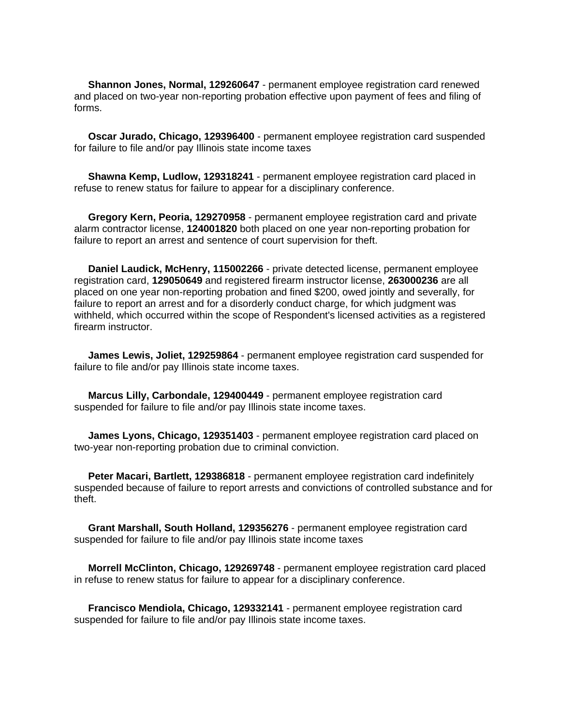**Shannon Jones, Normal, 129260647** - permanent employee registration card renewed and placed on two-year non-reporting probation effective upon payment of fees and filing of forms.

 **Oscar Jurado, Chicago, 129396400** - permanent employee registration card suspended for failure to file and/or pay Illinois state income taxes

 **Shawna Kemp, Ludlow, 129318241** - permanent employee registration card placed in refuse to renew status for failure to appear for a disciplinary conference.

 **Gregory Kern, Peoria, 129270958** - permanent employee registration card and private alarm contractor license, **124001820** both placed on one year non-reporting probation for failure to report an arrest and sentence of court supervision for theft.

 **Daniel Laudick, McHenry, 115002266** - private detected license, permanent employee registration card, **129050649** and registered firearm instructor license, **263000236** are all placed on one year non-reporting probation and fined \$200, owed jointly and severally, for failure to report an arrest and for a disorderly conduct charge, for which judgment was withheld, which occurred within the scope of Respondent's licensed activities as a registered firearm instructor.

 **James Lewis, Joliet, 129259864** - permanent employee registration card suspended for failure to file and/or pay Illinois state income taxes.

 **Marcus Lilly, Carbondale, 129400449** - permanent employee registration card suspended for failure to file and/or pay Illinois state income taxes.

 **James Lyons, Chicago, 129351403** - permanent employee registration card placed on two-year non-reporting probation due to criminal conviction.

 **Peter Macari, Bartlett, 129386818** - permanent employee registration card indefinitely suspended because of failure to report arrests and convictions of controlled substance and for theft.

 **Grant Marshall, South Holland, 129356276** - permanent employee registration card suspended for failure to file and/or pay Illinois state income taxes

 **Morrell McClinton, Chicago, 129269748** - permanent employee registration card placed in refuse to renew status for failure to appear for a disciplinary conference.

 **Francisco Mendiola, Chicago, 129332141** - permanent employee registration card suspended for failure to file and/or pay Illinois state income taxes.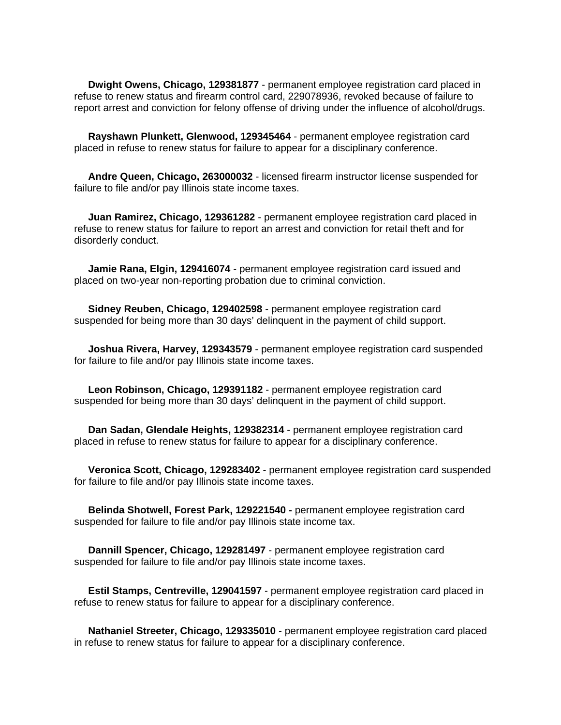**Dwight Owens, Chicago, 129381877** - permanent employee registration card placed in refuse to renew status and firearm control card, 229078936, revoked because of failure to report arrest and conviction for felony offense of driving under the influence of alcohol/drugs.

 **Rayshawn Plunkett, Glenwood, 129345464** - permanent employee registration card placed in refuse to renew status for failure to appear for a disciplinary conference.

 **Andre Queen, Chicago, 263000032** - licensed firearm instructor license suspended for failure to file and/or pay Illinois state income taxes.

 **Juan Ramirez, Chicago, 129361282** - permanent employee registration card placed in refuse to renew status for failure to report an arrest and conviction for retail theft and for disorderly conduct.

 **Jamie Rana, Elgin, 129416074** - permanent employee registration card issued and placed on two-year non-reporting probation due to criminal conviction.

 **Sidney Reuben, Chicago, 129402598** - permanent employee registration card suspended for being more than 30 days' delinquent in the payment of child support.

 **Joshua Rivera, Harvey, 129343579** - permanent employee registration card suspended for failure to file and/or pay Illinois state income taxes.

 **Leon Robinson, Chicago, 129391182** - permanent employee registration card suspended for being more than 30 days' delinquent in the payment of child support.

 **Dan Sadan, Glendale Heights, 129382314** - permanent employee registration card placed in refuse to renew status for failure to appear for a disciplinary conference.

 **Veronica Scott, Chicago, 129283402** - permanent employee registration card suspended for failure to file and/or pay Illinois state income taxes.

 **Belinda Shotwell, Forest Park, 129221540 -** permanent employee registration card suspended for failure to file and/or pay Illinois state income tax.

 **Dannill Spencer, Chicago, 129281497** - permanent employee registration card suspended for failure to file and/or pay Illinois state income taxes.

 **Estil Stamps, Centreville, 129041597** - permanent employee registration card placed in refuse to renew status for failure to appear for a disciplinary conference.

 **Nathaniel Streeter, Chicago, 129335010** - permanent employee registration card placed in refuse to renew status for failure to appear for a disciplinary conference.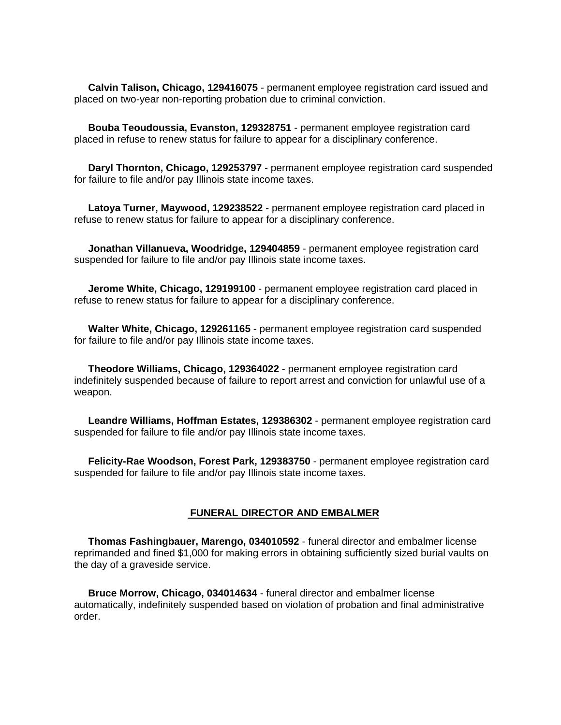**Calvin Talison, Chicago, 129416075** - permanent employee registration card issued and placed on two-year non-reporting probation due to criminal conviction.

 **Bouba Teoudoussia, Evanston, 129328751** - permanent employee registration card placed in refuse to renew status for failure to appear for a disciplinary conference.

 **Daryl Thornton, Chicago, 129253797** - permanent employee registration card suspended for failure to file and/or pay Illinois state income taxes.

 **Latoya Turner, Maywood, 129238522** - permanent employee registration card placed in refuse to renew status for failure to appear for a disciplinary conference.

 **Jonathan Villanueva, Woodridge, 129404859** - permanent employee registration card suspended for failure to file and/or pay Illinois state income taxes.

 **Jerome White, Chicago, 129199100** - permanent employee registration card placed in refuse to renew status for failure to appear for a disciplinary conference.

 **Walter White, Chicago, 129261165** - permanent employee registration card suspended for failure to file and/or pay Illinois state income taxes.

 **Theodore Williams, Chicago, 129364022** - permanent employee registration card indefinitely suspended because of failure to report arrest and conviction for unlawful use of a weapon.

 **Leandre Williams, Hoffman Estates, 129386302** - permanent employee registration card suspended for failure to file and/or pay Illinois state income taxes.

 **Felicity-Rae Woodson, Forest Park, 129383750** - permanent employee registration card suspended for failure to file and/or pay Illinois state income taxes.

#### **FUNERAL DIRECTOR AND EMBALMER**

 **Thomas Fashingbauer, Marengo, 034010592** - funeral director and embalmer license reprimanded and fined \$1,000 for making errors in obtaining sufficiently sized burial vaults on the day of a graveside service.

 **Bruce Morrow, Chicago, 034014634** - funeral director and embalmer license automatically, indefinitely suspended based on violation of probation and final administrative order.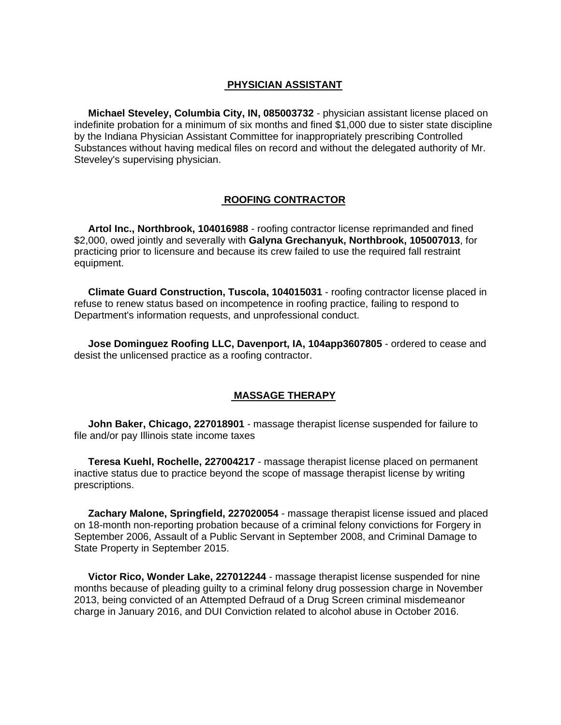#### **PHYSICIAN ASSISTANT**

 **Michael Steveley, Columbia City, IN, 085003732** - physician assistant license placed on indefinite probation for a minimum of six months and fined \$1,000 due to sister state discipline by the Indiana Physician Assistant Committee for inappropriately prescribing Controlled Substances without having medical files on record and without the delegated authority of Mr. Steveley's supervising physician.

#### **ROOFING CONTRACTOR**

 **Artol Inc., Northbrook, 104016988** - roofing contractor license reprimanded and fined \$2,000, owed jointly and severally with **Galyna Grechanyuk, Northbrook, 105007013**, for practicing prior to licensure and because its crew failed to use the required fall restraint equipment.

 **Climate Guard Construction, Tuscola, 104015031** - roofing contractor license placed in refuse to renew status based on incompetence in roofing practice, failing to respond to Department's information requests, and unprofessional conduct.

 **Jose Dominguez Roofing LLC, Davenport, IA, 104app3607805** - ordered to cease and desist the unlicensed practice as a roofing contractor.

#### **MASSAGE THERAPY**

 **John Baker, Chicago, 227018901** - massage therapist license suspended for failure to file and/or pay Illinois state income taxes

 **Teresa Kuehl, Rochelle, 227004217** - massage therapist license placed on permanent inactive status due to practice beyond the scope of massage therapist license by writing prescriptions.

 **Zachary Malone, Springfield, 227020054** - massage therapist license issued and placed on 18-month non-reporting probation because of a criminal felony convictions for Forgery in September 2006, Assault of a Public Servant in September 2008, and Criminal Damage to State Property in September 2015.

 **Victor Rico, Wonder Lake, 227012244** - massage therapist license suspended for nine months because of pleading guilty to a criminal felony drug possession charge in November 2013, being convicted of an Attempted Defraud of a Drug Screen criminal misdemeanor charge in January 2016, and DUI Conviction related to alcohol abuse in October 2016.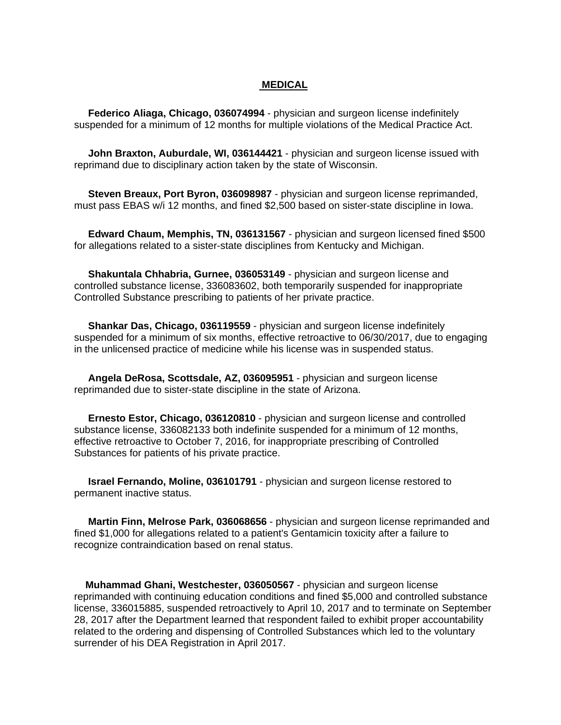#### **MEDICAL**

 **Federico Aliaga, Chicago, 036074994** - physician and surgeon license indefinitely suspended for a minimum of 12 months for multiple violations of the Medical Practice Act.

 **John Braxton, Auburdale, WI, 036144421** - physician and surgeon license issued with reprimand due to disciplinary action taken by the state of Wisconsin.

 **Steven Breaux, Port Byron, 036098987** - physician and surgeon license reprimanded, must pass EBAS w/i 12 months, and fined \$2,500 based on sister-state discipline in Iowa.

 **Edward Chaum, Memphis, TN, 036131567** - physician and surgeon licensed fined \$500 for allegations related to a sister-state disciplines from Kentucky and Michigan.

 **Shakuntala Chhabria, Gurnee, 036053149** - physician and surgeon license and controlled substance license, 336083602, both temporarily suspended for inappropriate Controlled Substance prescribing to patients of her private practice.

 **Shankar Das, Chicago, 036119559** - physician and surgeon license indefinitely suspended for a minimum of six months, effective retroactive to 06/30/2017, due to engaging in the unlicensed practice of medicine while his license was in suspended status.

 **Angela DeRosa, Scottsdale, AZ, 036095951** - physician and surgeon license reprimanded due to sister-state discipline in the state of Arizona.

 **Ernesto Estor, Chicago, 036120810** - physician and surgeon license and controlled substance license, 336082133 both indefinite suspended for a minimum of 12 months, effective retroactive to October 7, 2016, for inappropriate prescribing of Controlled Substances for patients of his private practice.

 **Israel Fernando, Moline, 036101791** - physician and surgeon license restored to permanent inactive status.

 **Martin Finn, Melrose Park, 036068656** - physician and surgeon license reprimanded and fined \$1,000 for allegations related to a patient's Gentamicin toxicity after a failure to recognize contraindication based on renal status.

 **Muhammad Ghani, Westchester, 036050567** - physician and surgeon license reprimanded with continuing education conditions and fined \$5,000 and controlled substance license, 336015885, suspended retroactively to April 10, 2017 and to terminate on September 28, 2017 after the Department learned that respondent failed to exhibit proper accountability related to the ordering and dispensing of Controlled Substances which led to the voluntary surrender of his DEA Registration in April 2017.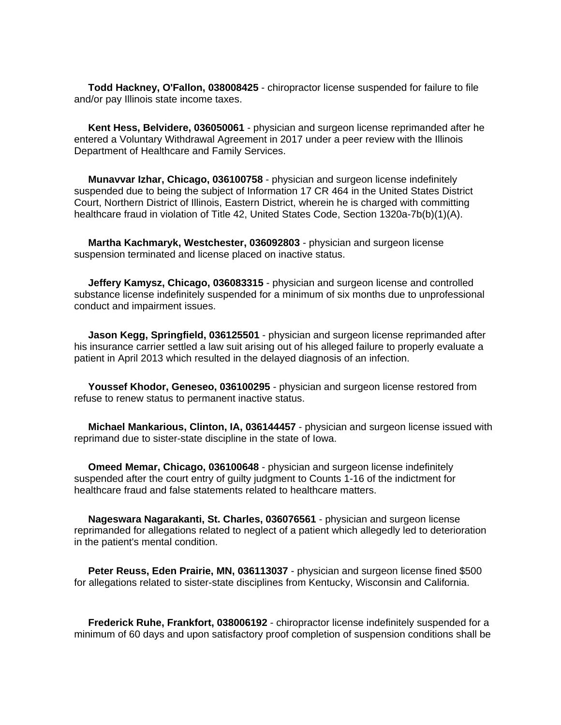**Todd Hackney, O'Fallon, 038008425** - chiropractor license suspended for failure to file and/or pay Illinois state income taxes.

 **Kent Hess, Belvidere, 036050061** - physician and surgeon license reprimanded after he entered a Voluntary Withdrawal Agreement in 2017 under a peer review with the Illinois Department of Healthcare and Family Services.

 **Munavvar Izhar, Chicago, 036100758** - physician and surgeon license indefinitely suspended due to being the subject of Information 17 CR 464 in the United States District Court, Northern District of Illinois, Eastern District, wherein he is charged with committing healthcare fraud in violation of Title 42, United States Code, Section 1320a-7b(b)(1)(A).

 **Martha Kachmaryk, Westchester, 036092803** - physician and surgeon license suspension terminated and license placed on inactive status.

 **Jeffery Kamysz, Chicago, 036083315** - physician and surgeon license and controlled substance license indefinitely suspended for a minimum of six months due to unprofessional conduct and impairment issues.

 **Jason Kegg, Springfield, 036125501** - physician and surgeon license reprimanded after his insurance carrier settled a law suit arising out of his alleged failure to properly evaluate a patient in April 2013 which resulted in the delayed diagnosis of an infection.

 **Youssef Khodor, Geneseo, 036100295** - physician and surgeon license restored from refuse to renew status to permanent inactive status.

 **Michael Mankarious, Clinton, IA, 036144457** - physician and surgeon license issued with reprimand due to sister-state discipline in the state of Iowa.

 **Omeed Memar, Chicago, 036100648** - physician and surgeon license indefinitely suspended after the court entry of guilty judgment to Counts 1-16 of the indictment for healthcare fraud and false statements related to healthcare matters.

 **Nageswara Nagarakanti, St. Charles, 036076561** - physician and surgeon license reprimanded for allegations related to neglect of a patient which allegedly led to deterioration in the patient's mental condition.

 **Peter Reuss, Eden Prairie, MN, 036113037** - physician and surgeon license fined \$500 for allegations related to sister-state disciplines from Kentucky, Wisconsin and California.

 **Frederick Ruhe, Frankfort, 038006192** - chiropractor license indefinitely suspended for a minimum of 60 days and upon satisfactory proof completion of suspension conditions shall be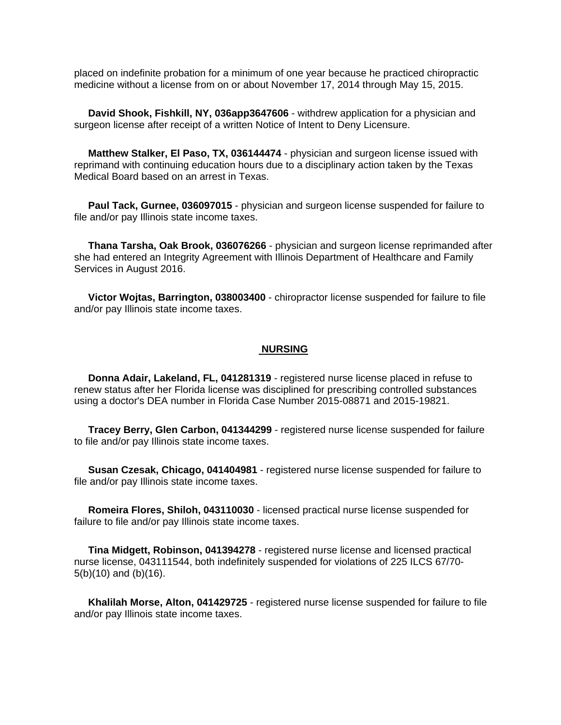placed on indefinite probation for a minimum of one year because he practiced chiropractic medicine without a license from on or about November 17, 2014 through May 15, 2015.

 **David Shook, Fishkill, NY, 036app3647606** - withdrew application for a physician and surgeon license after receipt of a written Notice of Intent to Deny Licensure.

 **Matthew Stalker, El Paso, TX, 036144474** - physician and surgeon license issued with reprimand with continuing education hours due to a disciplinary action taken by the Texas Medical Board based on an arrest in Texas.

 **Paul Tack, Gurnee, 036097015** - physician and surgeon license suspended for failure to file and/or pay Illinois state income taxes.

 **Thana Tarsha, Oak Brook, 036076266** - physician and surgeon license reprimanded after she had entered an Integrity Agreement with Illinois Department of Healthcare and Family Services in August 2016.

 **Victor Wojtas, Barrington, 038003400** - chiropractor license suspended for failure to file and/or pay Illinois state income taxes.

#### **NURSING**

 **Donna Adair, Lakeland, FL, 041281319** - registered nurse license placed in refuse to renew status after her Florida license was disciplined for prescribing controlled substances using a doctor's DEA number in Florida Case Number 2015-08871 and 2015-19821.

 **Tracey Berry, Glen Carbon, 041344299** - registered nurse license suspended for failure to file and/or pay Illinois state income taxes.

 **Susan Czesak, Chicago, 041404981** - registered nurse license suspended for failure to file and/or pay Illinois state income taxes.

 **Romeira Flores, Shiloh, 043110030** - licensed practical nurse license suspended for failure to file and/or pay Illinois state income taxes.

 **Tina Midgett, Robinson, 041394278** - registered nurse license and licensed practical nurse license, 043111544, both indefinitely suspended for violations of 225 ILCS 67/70- 5(b)(10) and (b)(16).

 **Khalilah Morse, Alton, 041429725** - registered nurse license suspended for failure to file and/or pay Illinois state income taxes.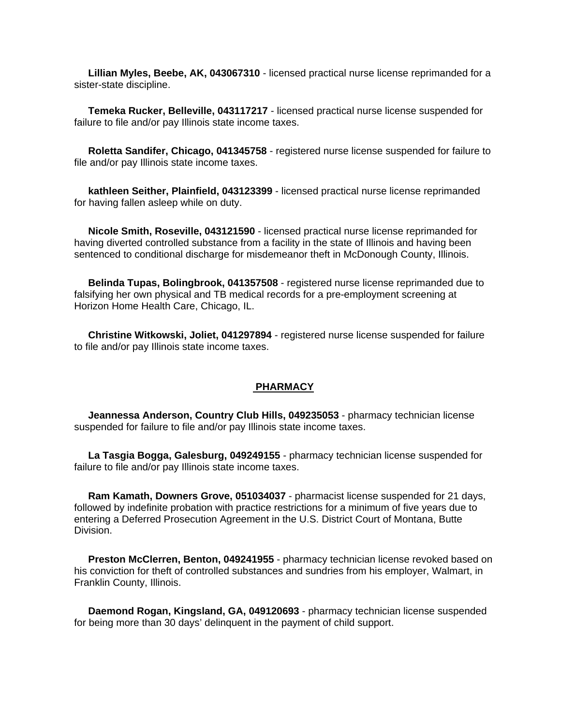**Lillian Myles, Beebe, AK, 043067310** - licensed practical nurse license reprimanded for a sister-state discipline.

 **Temeka Rucker, Belleville, 043117217** - licensed practical nurse license suspended for failure to file and/or pay Illinois state income taxes.

 **Roletta Sandifer, Chicago, 041345758** - registered nurse license suspended for failure to file and/or pay Illinois state income taxes.

 **kathleen Seither, Plainfield, 043123399** - licensed practical nurse license reprimanded for having fallen asleep while on duty.

 **Nicole Smith, Roseville, 043121590** - licensed practical nurse license reprimanded for having diverted controlled substance from a facility in the state of Illinois and having been sentenced to conditional discharge for misdemeanor theft in McDonough County, Illinois.

 **Belinda Tupas, Bolingbrook, 041357508** - registered nurse license reprimanded due to falsifying her own physical and TB medical records for a pre-employment screening at Horizon Home Health Care, Chicago, IL.

 **Christine Witkowski, Joliet, 041297894** - registered nurse license suspended for failure to file and/or pay Illinois state income taxes.

#### **PHARMACY**

 **Jeannessa Anderson, Country Club Hills, 049235053** - pharmacy technician license suspended for failure to file and/or pay Illinois state income taxes.

 **La Tasgia Bogga, Galesburg, 049249155** - pharmacy technician license suspended for failure to file and/or pay Illinois state income taxes.

 **Ram Kamath, Downers Grove, 051034037** - pharmacist license suspended for 21 days, followed by indefinite probation with practice restrictions for a minimum of five years due to entering a Deferred Prosecution Agreement in the U.S. District Court of Montana, Butte Division.

 **Preston McClerren, Benton, 049241955** - pharmacy technician license revoked based on his conviction for theft of controlled substances and sundries from his employer, Walmart, in Franklin County, Illinois.

 **Daemond Rogan, Kingsland, GA, 049120693** - pharmacy technician license suspended for being more than 30 days' delinquent in the payment of child support.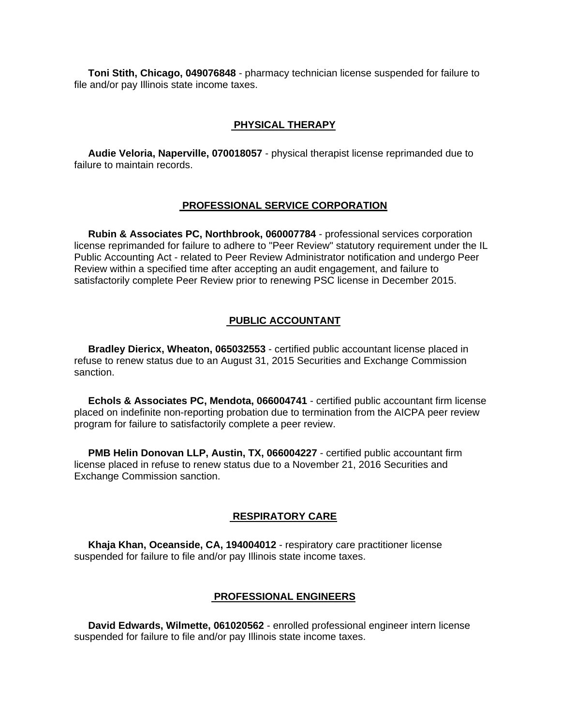**Toni Stith, Chicago, 049076848** - pharmacy technician license suspended for failure to file and/or pay Illinois state income taxes.

#### **PHYSICAL THERAPY**

 **Audie Veloria, Naperville, 070018057** - physical therapist license reprimanded due to failure to maintain records.

#### **PROFESSIONAL SERVICE CORPORATION**

 **Rubin & Associates PC, Northbrook, 060007784** - professional services corporation license reprimanded for failure to adhere to "Peer Review" statutory requirement under the IL Public Accounting Act - related to Peer Review Administrator notification and undergo Peer Review within a specified time after accepting an audit engagement, and failure to satisfactorily complete Peer Review prior to renewing PSC license in December 2015.

#### **PUBLIC ACCOUNTANT**

 **Bradley Diericx, Wheaton, 065032553** - certified public accountant license placed in refuse to renew status due to an August 31, 2015 Securities and Exchange Commission sanction.

 **Echols & Associates PC, Mendota, 066004741** - certified public accountant firm license placed on indefinite non-reporting probation due to termination from the AICPA peer review program for failure to satisfactorily complete a peer review.

 **PMB Helin Donovan LLP, Austin, TX, 066004227** - certified public accountant firm license placed in refuse to renew status due to a November 21, 2016 Securities and Exchange Commission sanction.

#### **RESPIRATORY CARE**

 **Khaja Khan, Oceanside, CA, 194004012** - respiratory care practitioner license suspended for failure to file and/or pay Illinois state income taxes.

#### **PROFESSIONAL ENGINEERS**

 **David Edwards, Wilmette, 061020562** - enrolled professional engineer intern license suspended for failure to file and/or pay Illinois state income taxes.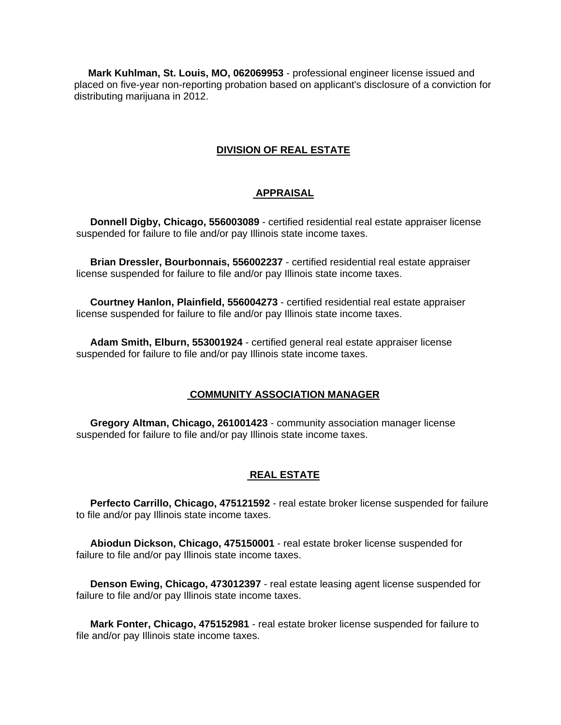**Mark Kuhlman, St. Louis, MO, 062069953** - professional engineer license issued and placed on five-year non-reporting probation based on applicant's disclosure of a conviction for distributing marijuana in 2012.

#### **DIVISION OF REAL ESTATE**

#### **APPRAISAL**

 **Donnell Digby, Chicago, 556003089** - certified residential real estate appraiser license suspended for failure to file and/or pay Illinois state income taxes.

 **Brian Dressler, Bourbonnais, 556002237** - certified residential real estate appraiser license suspended for failure to file and/or pay Illinois state income taxes.

 **Courtney Hanlon, Plainfield, 556004273** - certified residential real estate appraiser license suspended for failure to file and/or pay Illinois state income taxes.

 **Adam Smith, Elburn, 553001924** - certified general real estate appraiser license suspended for failure to file and/or pay Illinois state income taxes.

#### **COMMUNITY ASSOCIATION MANAGER**

 **Gregory Altman, Chicago, 261001423** - community association manager license suspended for failure to file and/or pay Illinois state income taxes.

#### **REAL ESTATE**

 **Perfecto Carrillo, Chicago, 475121592** - real estate broker license suspended for failure to file and/or pay Illinois state income taxes.

 **Abiodun Dickson, Chicago, 475150001** - real estate broker license suspended for failure to file and/or pay Illinois state income taxes.

 **Denson Ewing, Chicago, 473012397** - real estate leasing agent license suspended for failure to file and/or pay Illinois state income taxes.

 **Mark Fonter, Chicago, 475152981** - real estate broker license suspended for failure to file and/or pay Illinois state income taxes.